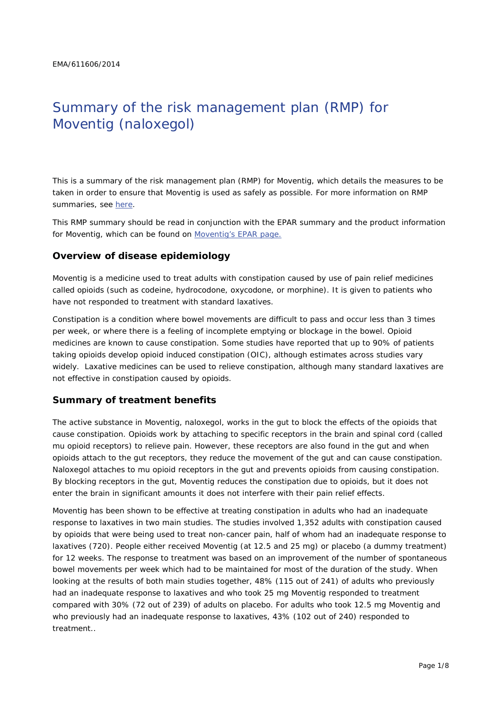# Summary of the risk management plan (RMP) for Moventig (naloxegol)

This is a summary of the risk management plan (RMP) for Moventig, which details the measures to be taken in order to ensure that Moventig is used as safely as possible. For more information on RMP summaries, see here.

This RMP summary should be read in conjunction with the EPAR summary and the product information for Moventig, which can be found on Moventig's EPAR page.

#### **Overview of disease epidemiology**

Moventig is a medicine used to treat adults with constipation caused by use of pain relief medicines called opioids (such as codeine, hydrocodone, oxycodone, or morphine). It is given to patients who have not responded to treatment with standard laxatives.

Constipation is a condition where bowel movements are difficult to pass and occur less than 3 times per week, or where there is a feeling of incomplete emptying or blockage in the bowel. Opioid medicines are known to cause constipation. Some studies have reported that up to 90% of patients taking opioids develop opioid induced constipation (OIC), although estimates across studies vary widely. Laxative medicines can be used to relieve constipation, although many standard laxatives are not effective in constipation caused by opioids.

#### **Summary of treatment benefits**

The active substance in Moventig, naloxegol, works in the gut to block the effects of the opioids that cause constipation. Opioids work by attaching to specific receptors in the brain and spinal cord (called mu opioid receptors) to relieve pain. However, these receptors are also found in the gut and when opioids attach to the gut receptors, they reduce the movement of the gut and can cause constipation. Naloxegol attaches to mu opioid receptors in the gut and prevents opioids from causing constipation. By blocking receptors in the gut, Moventig reduces the constipation due to opioids, but it does not enter the brain in significant amounts it does not interfere with their pain relief effects.

Moventig has been shown to be effective at treating constipation in adults who had an inadequate response to laxatives in two main studies. The studies involved 1,352 adults with constipation caused by opioids that were being used to treat non-cancer pain, half of whom had an inadequate response to laxatives (720). People either received Moventig (at 12.5 and 25 mg) or placebo (a dummy treatment) for 12 weeks. The response to treatment was based on an improvement of the number of spontaneous bowel movements per week which had to be maintained for most of the duration of the study. When looking at the results of both main studies together, 48% (115 out of 241) of adults who previously had an inadequate response to laxatives and who took 25 mg Moventig responded to treatment compared with 30% (72 out of 239) of adults on placebo. For adults who took 12.5 mg Moventig and who previously had an inadequate response to laxatives, 43% (102 out of 240) responded to treatment..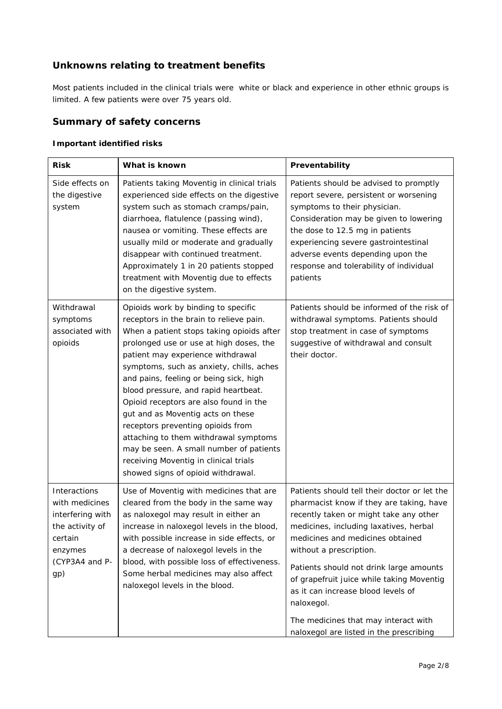# **Unknowns relating to treatment benefits**

Most patients included in the clinical trials were white or black and experience in other ethnic groups is limited. A few patients were over 75 years old.

# **Summary of safety concerns**

#### *Important identified risks*

| <b>Risk</b>                                                                                                          | What is known                                                                                                                                                                                                                                                                                                                                                                                                                                                                                                                                                                                                                    | Preventability                                                                                                                                                                                                                                                                                                                                                                                                                                                             |  |
|----------------------------------------------------------------------------------------------------------------------|----------------------------------------------------------------------------------------------------------------------------------------------------------------------------------------------------------------------------------------------------------------------------------------------------------------------------------------------------------------------------------------------------------------------------------------------------------------------------------------------------------------------------------------------------------------------------------------------------------------------------------|----------------------------------------------------------------------------------------------------------------------------------------------------------------------------------------------------------------------------------------------------------------------------------------------------------------------------------------------------------------------------------------------------------------------------------------------------------------------------|--|
| Side effects on<br>the digestive<br>system                                                                           | Patients taking Moventig in clinical trials<br>experienced side effects on the digestive<br>system such as stomach cramps/pain,<br>diarrhoea, flatulence (passing wind),<br>nausea or vomiting. These effects are<br>usually mild or moderate and gradually<br>disappear with continued treatment.<br>Approximately 1 in 20 patients stopped<br>treatment with Moventig due to effects<br>on the digestive system.                                                                                                                                                                                                               | Patients should be advised to promptly<br>report severe, persistent or worsening<br>symptoms to their physician.<br>Consideration may be given to lowering<br>the dose to 12.5 mg in patients<br>experiencing severe gastrointestinal<br>adverse events depending upon the<br>response and tolerability of individual<br>patients                                                                                                                                          |  |
| Withdrawal<br>symptoms<br>associated with<br>opioids                                                                 | Opioids work by binding to specific<br>receptors in the brain to relieve pain.<br>When a patient stops taking opioids after<br>prolonged use or use at high doses, the<br>patient may experience withdrawal<br>symptoms, such as anxiety, chills, aches<br>and pains, feeling or being sick, high<br>blood pressure, and rapid heartbeat.<br>Opioid receptors are also found in the<br>gut and as Moventig acts on these<br>receptors preventing opioids from<br>attaching to them withdrawal symptoms<br>may be seen. A small number of patients<br>receiving Moventig in clinical trials<br>showed signs of opioid withdrawal. | Patients should be informed of the risk of<br>withdrawal symptoms. Patients should<br>stop treatment in case of symptoms<br>suggestive of withdrawal and consult<br>their doctor.                                                                                                                                                                                                                                                                                          |  |
| Interactions<br>with medicines<br>interfering with<br>the activity of<br>certain<br>enzymes<br>(CYP3A4 and P-<br>gp) | Use of Moventig with medicines that are<br>cleared from the body in the same way<br>as naloxegol may result in either an<br>increase in naloxegol levels in the blood,<br>with possible increase in side effects, or<br>a decrease of naloxegol levels in the<br>blood, with possible loss of effectiveness.<br>Some herbal medicines may also affect<br>naloxegol levels in the blood.                                                                                                                                                                                                                                          | Patients should tell their doctor or let the<br>pharmacist know if they are taking, have<br>recently taken or might take any other<br>medicines, including laxatives, herbal<br>medicines and medicines obtained<br>without a prescription.<br>Patients should not drink large amounts<br>of grapefruit juice while taking Moventig<br>as it can increase blood levels of<br>naloxegol.<br>The medicines that may interact with<br>naloxegol are listed in the prescribing |  |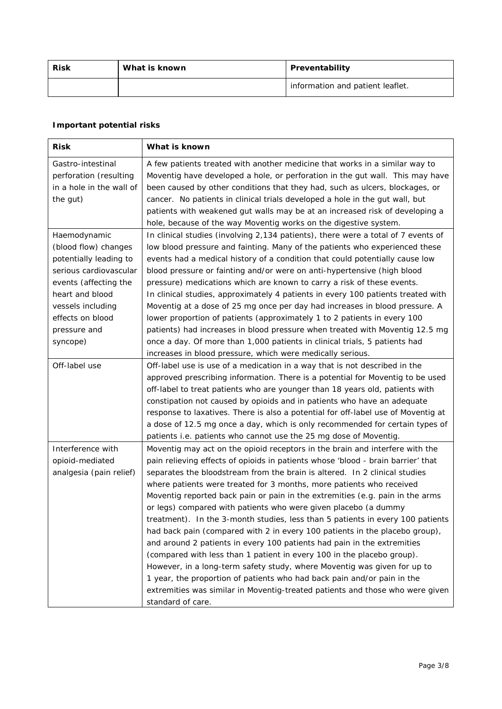| <b>Risk</b><br>What is known |  | Preventability                   |  |
|------------------------------|--|----------------------------------|--|
|                              |  | information and patient leaflet. |  |

## *Important potential risks*

| <b>Risk</b>              | What is known                                                                     |  |  |
|--------------------------|-----------------------------------------------------------------------------------|--|--|
| Gastro-intestinal        | A few patients treated with another medicine that works in a similar way to       |  |  |
| perforation (resulting   | Moventig have developed a hole, or perforation in the gut wall. This may have     |  |  |
| in a hole in the wall of | been caused by other conditions that they had, such as ulcers, blockages, or      |  |  |
| the gut)                 | cancer. No patients in clinical trials developed a hole in the gut wall, but      |  |  |
|                          | patients with weakened gut walls may be at an increased risk of developing a      |  |  |
|                          | hole, because of the way Moventig works on the digestive system.                  |  |  |
| Haemodynamic             | In clinical studies (involving 2,134 patients), there were a total of 7 events of |  |  |
| (blood flow) changes     | low blood pressure and fainting. Many of the patients who experienced these       |  |  |
| potentially leading to   | events had a medical history of a condition that could potentially cause low      |  |  |
| serious cardiovascular   | blood pressure or fainting and/or were on anti-hypertensive (high blood           |  |  |
| events (affecting the    | pressure) medications which are known to carry a risk of these events.            |  |  |
| heart and blood          | In clinical studies, approximately 4 patients in every 100 patients treated with  |  |  |
| vessels including        | Moventig at a dose of 25 mg once per day had increases in blood pressure. A       |  |  |
| effects on blood         | lower proportion of patients (approximately 1 to 2 patients in every 100          |  |  |
| pressure and             | patients) had increases in blood pressure when treated with Moventig 12.5 mg      |  |  |
| syncope)                 | once a day. Of more than 1,000 patients in clinical trials, 5 patients had        |  |  |
|                          | increases in blood pressure, which were medically serious.                        |  |  |
| Off-label use            | Off-label use is use of a medication in a way that is not described in the        |  |  |
|                          | approved prescribing information. There is a potential for Moventig to be used    |  |  |
|                          | off-label to treat patients who are younger than 18 years old, patients with      |  |  |
|                          | constipation not caused by opioids and in patients who have an adequate           |  |  |
|                          | response to laxatives. There is also a potential for off-label use of Moventig at |  |  |
|                          | a dose of 12.5 mg once a day, which is only recommended for certain types of      |  |  |
|                          | patients i.e. patients who cannot use the 25 mg dose of Moventig.                 |  |  |
| Interference with        | Moventig may act on the opioid receptors in the brain and interfere with the      |  |  |
| opioid-mediated          | pain relieving effects of opioids in patients whose 'blood - brain barrier' that  |  |  |
| analgesia (pain relief)  | separates the bloodstream from the brain is altered. In 2 clinical studies        |  |  |
|                          | where patients were treated for 3 months, more patients who received              |  |  |
|                          | Moventig reported back pain or pain in the extremities (e.g. pain in the arms     |  |  |
|                          | or legs) compared with patients who were given placebo (a dummy                   |  |  |
|                          | treatment). In the 3-month studies, less than 5 patients in every 100 patients    |  |  |
|                          | had back pain (compared with 2 in every 100 patients in the placebo group),       |  |  |
|                          | and around 2 patients in every 100 patients had pain in the extremities           |  |  |
|                          | (compared with less than 1 patient in every 100 in the placebo group).            |  |  |
|                          | However, in a long-term safety study, where Moventig was given for up to          |  |  |
|                          | 1 year, the proportion of patients who had back pain and/or pain in the           |  |  |
|                          | extremities was similar in Moventig-treated patients and those who were given     |  |  |
|                          | standard of care.                                                                 |  |  |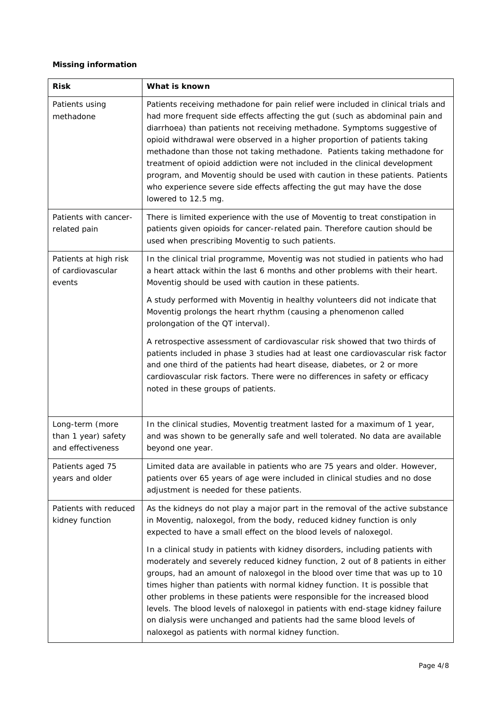#### *Missing information*

| <b>Risk</b>                                                 | What is known                                                                                                                                                                                                                                                                                                                                                                                                                                                                                                                                                                                                                                                           |  |  |  |
|-------------------------------------------------------------|-------------------------------------------------------------------------------------------------------------------------------------------------------------------------------------------------------------------------------------------------------------------------------------------------------------------------------------------------------------------------------------------------------------------------------------------------------------------------------------------------------------------------------------------------------------------------------------------------------------------------------------------------------------------------|--|--|--|
| Patients using<br>methadone                                 | Patients receiving methadone for pain relief were included in clinical trials and<br>had more frequent side effects affecting the gut (such as abdominal pain and<br>diarrhoea) than patients not receiving methadone. Symptoms suggestive of<br>opioid withdrawal were observed in a higher proportion of patients taking<br>methadone than those not taking methadone. Patients taking methadone for<br>treatment of opioid addiction were not included in the clinical development<br>program, and Moventig should be used with caution in these patients. Patients<br>who experience severe side effects affecting the gut may have the dose<br>lowered to 12.5 mg. |  |  |  |
| Patients with cancer-<br>related pain                       | There is limited experience with the use of Moventig to treat constipation in<br>patients given opioids for cancer-related pain. Therefore caution should be<br>used when prescribing Moventig to such patients.                                                                                                                                                                                                                                                                                                                                                                                                                                                        |  |  |  |
| Patients at high risk<br>of cardiovascular<br>events        | In the clinical trial programme, Moventig was not studied in patients who had<br>a heart attack within the last 6 months and other problems with their heart.<br>Moventig should be used with caution in these patients.                                                                                                                                                                                                                                                                                                                                                                                                                                                |  |  |  |
|                                                             | A study performed with Moventig in healthy volunteers did not indicate that<br>Moventig prolongs the heart rhythm (causing a phenomenon called<br>prolongation of the QT interval).                                                                                                                                                                                                                                                                                                                                                                                                                                                                                     |  |  |  |
|                                                             | A retrospective assessment of cardiovascular risk showed that two thirds of<br>patients included in phase 3 studies had at least one cardiovascular risk factor<br>and one third of the patients had heart disease, diabetes, or 2 or more<br>cardiovascular risk factors. There were no differences in safety or efficacy<br>noted in these groups of patients.                                                                                                                                                                                                                                                                                                        |  |  |  |
| Long-term (more<br>than 1 year) safety<br>and effectiveness | In the clinical studies, Moventig treatment lasted for a maximum of 1 year,<br>and was shown to be generally safe and well tolerated. No data are available<br>beyond one year.                                                                                                                                                                                                                                                                                                                                                                                                                                                                                         |  |  |  |
| Patients aged 75<br>years and older                         | Limited data are available in patients who are 75 years and older. However,<br>patients over 65 years of age were included in clinical studies and no dose<br>adjustment is needed for these patients.                                                                                                                                                                                                                                                                                                                                                                                                                                                                  |  |  |  |
| Patients with reduced<br>kidney function                    | As the kidneys do not play a major part in the removal of the active substance<br>in Moventig, naloxegol, from the body, reduced kidney function is only<br>expected to have a small effect on the blood levels of naloxegol.                                                                                                                                                                                                                                                                                                                                                                                                                                           |  |  |  |
|                                                             | In a clinical study in patients with kidney disorders, including patients with<br>moderately and severely reduced kidney function, 2 out of 8 patients in either<br>groups, had an amount of naloxegol in the blood over time that was up to 10<br>times higher than patients with normal kidney function. It is possible that<br>other problems in these patients were responsible for the increased blood<br>levels. The blood levels of naloxegol in patients with end-stage kidney failure<br>on dialysis were unchanged and patients had the same blood levels of<br>naloxegol as patients with normal kidney function.                                            |  |  |  |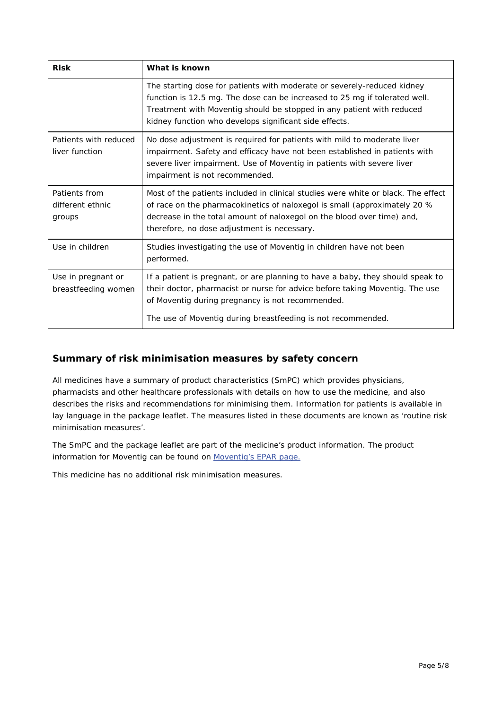| <b>Risk</b>                                 | What is known                                                                                                                                                                                                                                                                            |  |
|---------------------------------------------|------------------------------------------------------------------------------------------------------------------------------------------------------------------------------------------------------------------------------------------------------------------------------------------|--|
|                                             | The starting dose for patients with moderate or severely-reduced kidney<br>function is 12.5 mg. The dose can be increased to 25 mg if tolerated well.<br>Treatment with Moventig should be stopped in any patient with reduced<br>kidney function who develops significant side effects. |  |
| Patients with reduced<br>liver function     | No dose adjustment is required for patients with mild to moderate liver<br>impairment. Safety and efficacy have not been established in patients with<br>severe liver impairment. Use of Moventig in patients with severe liver<br>impairment is not recommended.                        |  |
| Patients from<br>different ethnic<br>groups | Most of the patients included in clinical studies were white or black. The effect<br>of race on the pharmacokinetics of naloxegol is small (approximately 20 %<br>decrease in the total amount of naloxegol on the blood over time) and,<br>therefore, no dose adjustment is necessary.  |  |
| Use in children                             | Studies investigating the use of Moventig in children have not been<br>performed.                                                                                                                                                                                                        |  |
| Use in pregnant or<br>breastfeeding women   | If a patient is pregnant, or are planning to have a baby, they should speak to<br>their doctor, pharmacist or nurse for advice before taking Moventig. The use<br>of Moventig during pregnancy is not recommended.<br>The use of Moventig during breastfeeding is not recommended.       |  |

# **Summary of risk minimisation measures by safety concern**

All medicines have a summary of product characteristics (SmPC) which provides physicians, pharmacists and other healthcare professionals with details on how to use the medicine, and also describes the risks and recommendations for minimising them. Information for patients is available in lay language in the package leaflet. The measures listed in these documents are known as 'routine risk minimisation measures'.

The SmPC and the package leaflet are part of the medicine's product information. The product information for Moventig can be found on Moventig's EPAR page.

This medicine has no additional risk minimisation measures.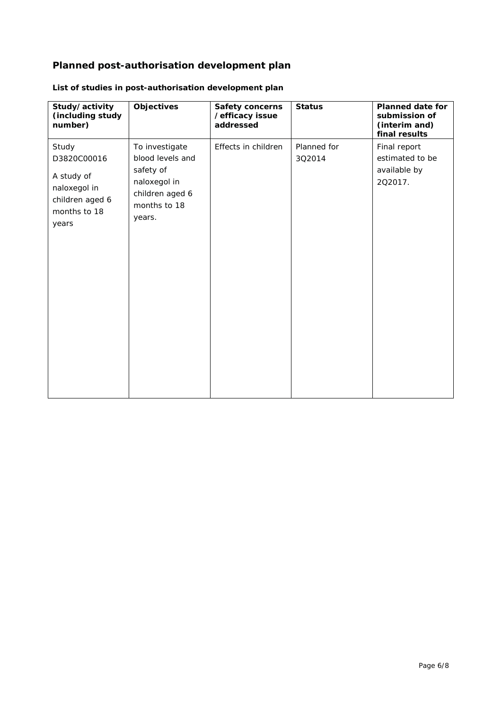# **Planned post-authorisation development plan**

| Study/activity<br>(including study<br>number)                                                  | Objectives                                                                                                   | Safety concerns<br>/efficacy issue<br>addressed | <b>Status</b>         | <b>Planned date for</b><br>submission of<br>(interim and)<br>final results |
|------------------------------------------------------------------------------------------------|--------------------------------------------------------------------------------------------------------------|-------------------------------------------------|-----------------------|----------------------------------------------------------------------------|
| Study<br>D3820C00016<br>A study of<br>naloxegol in<br>children aged 6<br>months to 18<br>years | To investigate<br>blood levels and<br>safety of<br>naloxegol in<br>children aged 6<br>months to 18<br>years. | Effects in children                             | Planned for<br>3Q2014 | Final report<br>estimated to be<br>available by<br>202017.                 |

## *List of studies in post-authorisation development plan*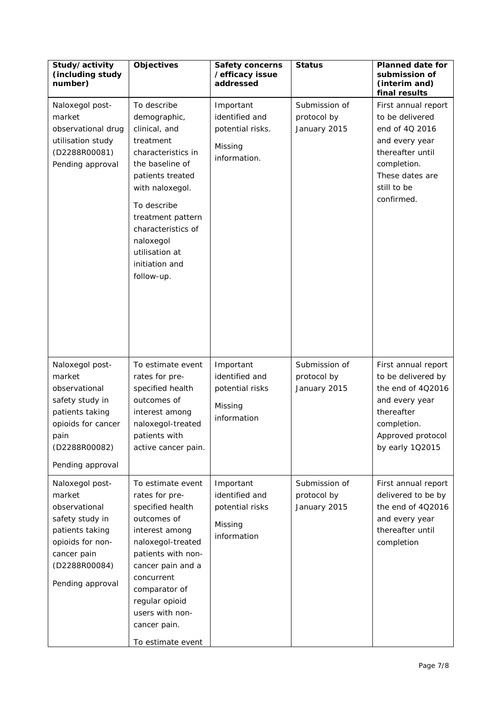| Study/activity<br>(including study<br>number)                                                                                                            | <b>Objectives</b>                                                                                                                                                                                                                                                  | <b>Safety concerns</b><br>/efficacy issue<br>addressed                     | <b>Status</b>                                | <b>Planned date for</b><br>submission of<br>(interim and)<br>final results                                                                                    |
|----------------------------------------------------------------------------------------------------------------------------------------------------------|--------------------------------------------------------------------------------------------------------------------------------------------------------------------------------------------------------------------------------------------------------------------|----------------------------------------------------------------------------|----------------------------------------------|---------------------------------------------------------------------------------------------------------------------------------------------------------------|
| Naloxegol post-<br>market<br>observational drug<br>utilisation study<br>(D2288R00081)<br>Pending approval                                                | To describe<br>demographic,<br>clinical, and<br>treatment<br>characteristics in<br>the baseline of<br>patients treated<br>with naloxegol.<br>To describe<br>treatment pattern<br>characteristics of<br>naloxegol<br>utilisation at<br>initiation and<br>follow-up. | Important<br>identified and<br>potential risks.<br>Missing<br>information. | Submission of<br>protocol by<br>January 2015 | First annual report<br>to be delivered<br>end of 4Q 2016<br>and every year<br>thereafter until<br>completion.<br>These dates are<br>still to be<br>confirmed. |
| Naloxegol post-<br>market<br>observational<br>safety study in<br>patients taking<br>opioids for cancer<br>pain<br>(D2288R00082)<br>Pending approval      | To estimate event<br>rates for pre-<br>specified health<br>outcomes of<br>interest among<br>naloxegol-treated<br>patients with<br>active cancer pain.                                                                                                              | Important<br>identified and<br>potential risks<br>Missing<br>information   | Submission of<br>protocol by<br>January 2015 | First annual report<br>to be delivered by<br>the end of 4Q2016<br>and every year<br>thereafter<br>completion.<br>Approved protocol<br>by early 102015         |
| Naloxegol post-<br>market<br>observational<br>safety study in<br>patients taking<br>opioids for non-<br>cancer pain<br>(D2288R00084)<br>Pending approval | To estimate event<br>rates for pre-<br>specified health<br>outcomes of<br>interest among<br>naloxegol-treated<br>patients with non-<br>cancer pain and a<br>concurrent<br>comparator of<br>regular opioid<br>users with non-<br>cancer pain.<br>To estimate event  | Important<br>identified and<br>potential risks<br>Missing<br>information   | Submission of<br>protocol by<br>January 2015 | First annual report<br>delivered to be by<br>the end of 4Q2016<br>and every year<br>thereafter until<br>completion                                            |